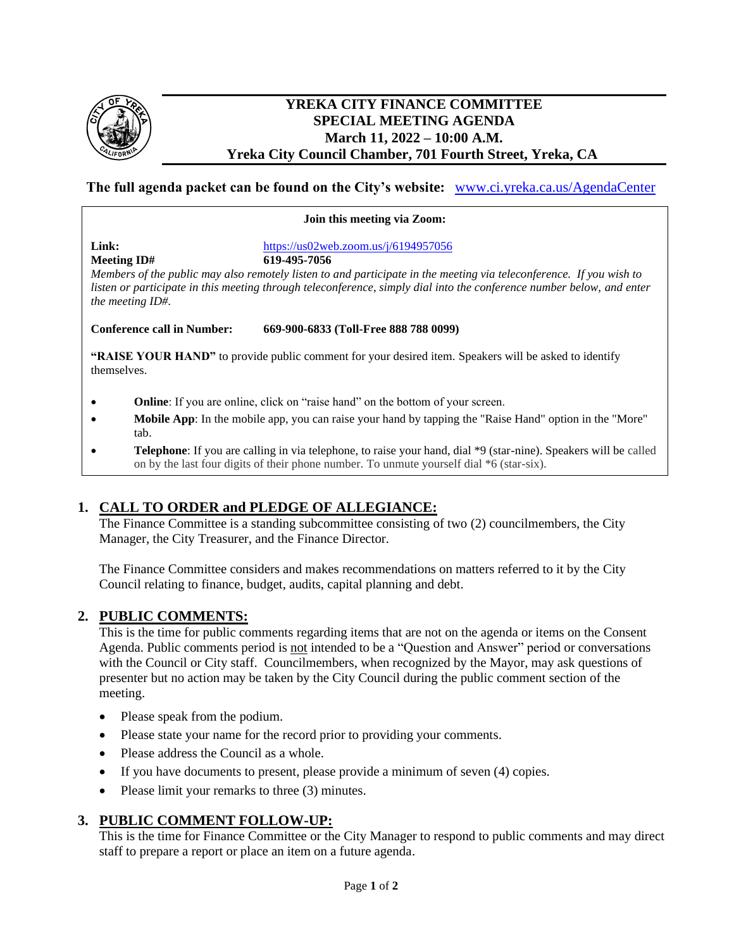

#### **YREKA CITY FINANCE COMMITTEE SPECIAL MEETING AGENDA March 11, 2022 – 10:00 A.M. Yreka City Council Chamber, 701 Fourth Street, Yreka, CA**

#### **The full agenda packet can be found on the City's website:** [www.ci.yreka.ca.us/AgendaCenter](http://www.ci.yreka.ca.us/AgendaCenter)

#### **Join this meeting via Zoom:**

**Meeting ID# 619-495-7056** 

**Link:** <https://us02web.zoom.us/j/6194957056>

*Members of the public may also remotely listen to and participate in the meeting via teleconference. If you wish to listen or participate in this meeting through teleconference, simply dial into the conference number below, and enter the meeting ID#.*

**Conference call in Number: 669-900-6833 (Toll-Free 888 788 0099)** 

**"RAISE YOUR HAND"** to provide public comment for your desired item. Speakers will be asked to identify themselves.

- **Online**: If you are online, click on "raise hand" on the bottom of your screen.
- **Mobile App**: In the mobile app, you can raise your hand by tapping the "Raise Hand" option in the "More" tab.
- **Telephone**: If you are calling in via telephone, to raise your hand, dial \*9 (star-nine). Speakers will be called on by the last four digits of their phone number. To unmute yourself dial \*6 (star-six).

#### **1. CALL TO ORDER and PLEDGE OF ALLEGIANCE:**

The Finance Committee is a standing subcommittee consisting of two (2) councilmembers, the City Manager, the City Treasurer, and the Finance Director.

The Finance Committee considers and makes recommendations on matters referred to it by the City Council relating to finance, budget, audits, capital planning and debt.

#### **2. PUBLIC COMMENTS:**

This is the time for public comments regarding items that are not on the agenda or items on the Consent Agenda. Public comments period is not intended to be a "Question and Answer" period or conversations with the Council or City staff. Councilmembers, when recognized by the Mayor, may ask questions of presenter but no action may be taken by the City Council during the public comment section of the meeting.

- Please speak from the podium.
- Please state your name for the record prior to providing your comments.
- Please address the Council as a whole.
- If you have documents to present, please provide a minimum of seven (4) copies.
- Please limit your remarks to three (3) minutes.

#### **3. PUBLIC COMMENT FOLLOW-UP:**

This is the time for Finance Committee or the City Manager to respond to public comments and may direct staff to prepare a report or place an item on a future agenda.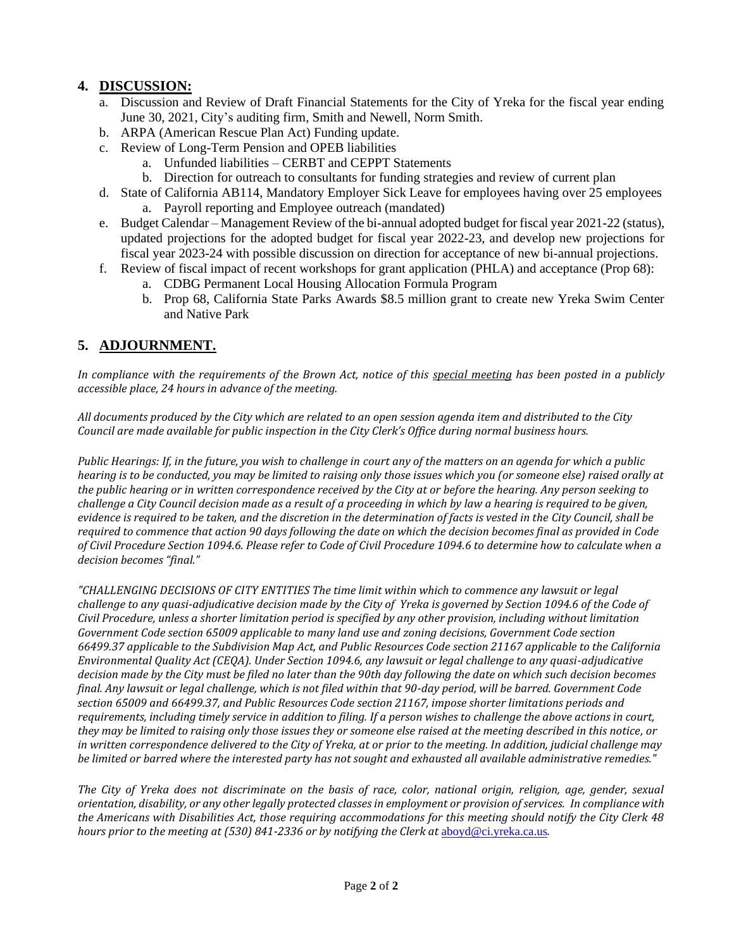### **4. DISCUSSION:**

- a. Discussion and Review of Draft Financial Statements for the City of Yreka for the fiscal year ending June 30, 2021, City's auditing firm, Smith and Newell, Norm Smith.
- b. ARPA (American Rescue Plan Act) Funding update.
- c. Review of Long-Term Pension and OPEB liabilities
	- a. Unfunded liabilities CERBT and CEPPT Statements
	- b. Direction for outreach to consultants for funding strategies and review of current plan
- d. State of California AB114, Mandatory Employer Sick Leave for employees having over 25 employees a. Payroll reporting and Employee outreach (mandated)
- e. Budget Calendar Management Review of the bi-annual adopted budget for fiscal year 2021-22 (status), updated projections for the adopted budget for fiscal year 2022-23, and develop new projections for fiscal year 2023-24 with possible discussion on direction for acceptance of new bi-annual projections.
- f. Review of fiscal impact of recent workshops for grant application (PHLA) and acceptance (Prop 68):
	- a. CDBG Permanent Local Housing Allocation Formula Program
	- b. Prop 68, California State Parks Awards \$8.5 million grant to create new Yreka Swim Center and Native Park

## **5. ADJOURNMENT.**

*In compliance with the requirements of the Brown Act, notice of this special meeting has been posted in a publicly accessible place, 24 hours in advance of the meeting.*

*All documents produced by the City which are related to an open session agenda item and distributed to the City Council are made available for public inspection in the City Clerk's Office during normal business hours.*

*Public Hearings: If, in the future, you wish to challenge in court any of the matters on an agenda for which a public hearing is to be conducted, you may be limited to raising only those issues which you (or someone else) raised orally at the public hearing or in written correspondence received by the City at or before the hearing. Any person seeking to challenge a City Council decision made as a result of a proceeding in which by law a hearing is required to be given, evidence is required to be taken, and the discretion in the determination of facts is vested in the City Council, shall be required to commence that action 90 days following the date on which the decision becomes final as provided in Code of Civil Procedure Section 1094.6. Please refer to Code of Civil Procedure 1094.6 to determine how to calculate when a decision becomes "final."*

*"CHALLENGING DECISIONS OF CITY ENTITIES The time limit within which to commence any lawsuit or legal challenge to any quasi-adjudicative decision made by the City of Yreka is governed by Section 1094.6 of the Code of Civil Procedure, unless a shorter limitation period is specified by any other provision, including without limitation Government Code section 65009 applicable to many land use and zoning decisions, Government Code section 66499.37 applicable to the Subdivision Map Act, and Public Resources Code section 21167 applicable to the California Environmental Quality Act (CEQA). Under Section 1094.6, any lawsuit or legal challenge to any quasi-adjudicative decision made by the City must be filed no later than the 90th day following the date on which such decision becomes final. Any lawsuit or legal challenge, which is not filed within that 90-day period, will be barred. Government Code section 65009 and 66499.37, and Public Resources Code section 21167, impose shorter limitations periods and requirements, including timely service in addition to filing. If a person wishes to challenge the above actions in court, they may be limited to raising only those issues they or someone else raised at the meeting described in this notice, or in written correspondence delivered to the City of Yreka, at or prior to the meeting. In addition, judicial challenge may be limited or barred where the interested party has not sought and exhausted all available administrative remedies."*

*The City of Yreka does not discriminate on the basis of race, color, national origin, religion, age, gender, sexual orientation, disability, or any other legally protected classes in employment or provision of services. In compliance with the Americans with Disabilities Act, those requiring accommodations for this meeting should notify the City Clerk 48 hours prior to the meeting at (530) 841-2336 or by notifying the Clerk at* [aboyd@ci.yreka.ca.us](mailto:aboyd@ci.yreka.ca.us)*.*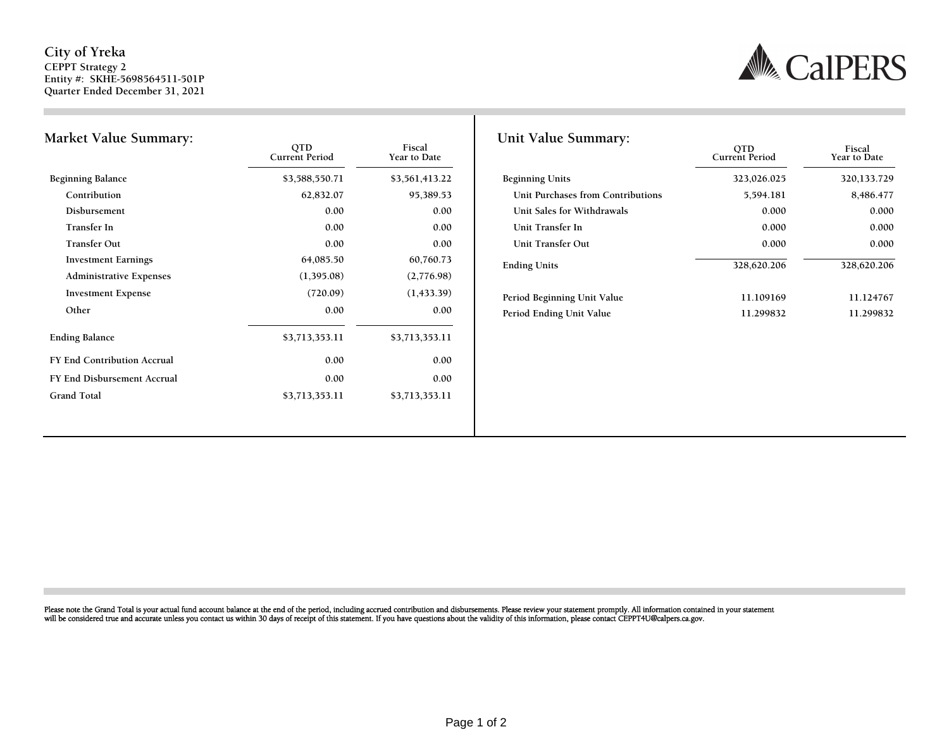#### **City of Yreka CEPPT Strategy 2 Entity #: SKHE-5698564511-501P Quarter Ended December 31, 2021**



|            | \$3,561,413.22                                     | <b>Beginning Units</b>      |
|------------|----------------------------------------------------|-----------------------------|
| 62,832.07  | 95,389.53                                          | Unit Purchases from Contri  |
| 0.00       | 0.00                                               | Unit Sales for Withdrawals  |
| 0.00       | 0.00                                               | Unit Transfer In            |
| 0.00       | 0.00                                               | Unit Transfer Out           |
| 64,085.50  | 60,760.73                                          | <b>Ending Units</b>         |
| (1,395.08) | (2,776.98)                                         |                             |
| (720.09)   | (1,433.39)                                         | Period Beginning Unit Value |
| 0.00       | 0.00                                               | Period Ending Unit Value    |
|            | \$3,713,353.11                                     |                             |
| 0.00       | 0.00                                               |                             |
| 0.00       | 0.00                                               |                             |
|            | \$3,713,353.11                                     |                             |
|            | \$3,588,550.71<br>\$3,713,353.11<br>\$3,713,353.11 |                             |

| 0TD<br>ent Period | Fiscal<br>Year to Date | Unit Value Summary:               | <b>OTD</b><br><b>Current Period</b> | Fiscal<br>Year to Date |
|-------------------|------------------------|-----------------------------------|-------------------------------------|------------------------|
| ,588,550.71       | \$3,561,413.22         | <b>Beginning Units</b>            | 323,026.025                         | 320,133.729            |
| 62,832.07         | 95,389.53              | Unit Purchases from Contributions | 5,594.181                           | 8,486.477              |
| 0.00              | 0.00                   | Unit Sales for Withdrawals        | 0.000                               | 0.000                  |
| 0.00              | 0.00                   | Unit Transfer In                  | 0.000                               | 0.000                  |
| 0.00              | 0.00                   | Unit Transfer Out                 | 0.000                               | 0.000                  |
| 64,085.50         | 60,760.73              | <b>Ending Units</b>               | 328,620.206                         | 328,620.206            |
| (1,395.08)        | (2,776.98)             |                                   |                                     |                        |
| (720.09)          | (1,433,39)             | Period Beginning Unit Value       | 11.109169                           | 11.124767              |
| 0.00              | 0.00                   | Period Ending Unit Value          | 11.299832                           | 11.299832              |

Please note the Grand Total is your actual fund account balance at the end of the period, including accrued contribution and disbursements. Please review your statement promptly. All information contained in your statement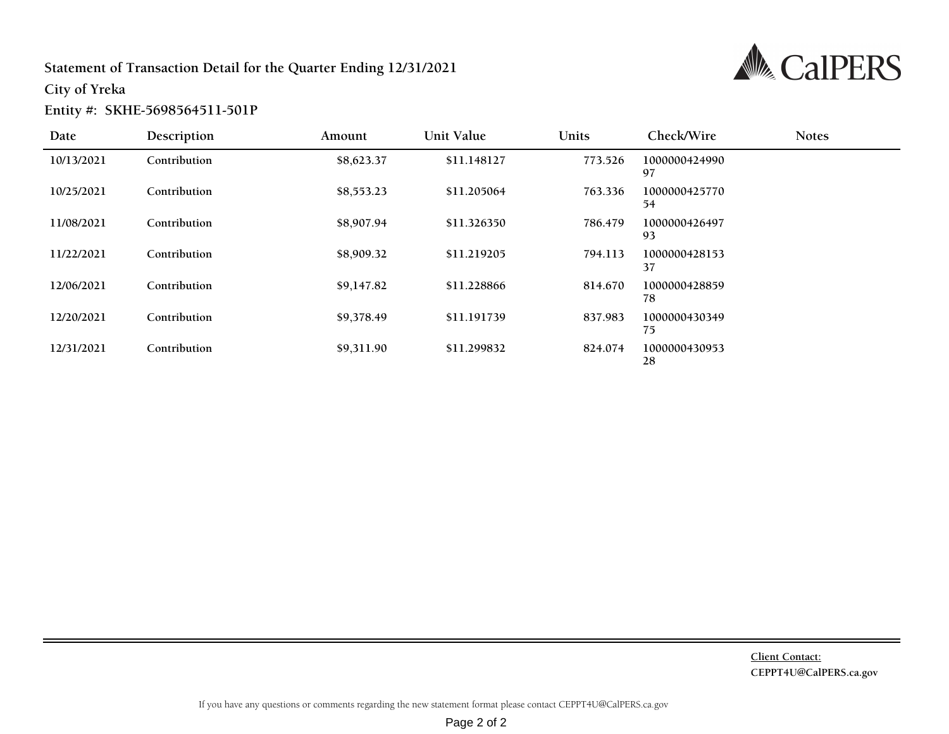### **Statement of Transaction Detail for the Quarter Ending 12/31/2021**



**City of Yreka**

#### **Entity #: SKHE-5698564511-501P**

| Date       | Description  | Amount     | Unit Value  | <b>Units</b> | Check/Wire          | <b>Notes</b> |  |
|------------|--------------|------------|-------------|--------------|---------------------|--------------|--|
| 10/13/2021 | Contribution | \$8,623.37 | \$11.148127 | 773.526      | 1000000424990<br>97 |              |  |
| 10/25/2021 | Contribution | \$8,553.23 | \$11.205064 | 763.336      | 1000000425770<br>54 |              |  |
| 11/08/2021 | Contribution | \$8,907.94 | \$11.326350 | 786.479      | 1000000426497<br>93 |              |  |
| 11/22/2021 | Contribution | \$8,909.32 | \$11.219205 | 794.113      | 1000000428153<br>37 |              |  |
| 12/06/2021 | Contribution | \$9,147.82 | \$11.228866 | 814.670      | 1000000428859<br>78 |              |  |
| 12/20/2021 | Contribution | \$9,378.49 | \$11.191739 | 837.983      | 1000000430349<br>75 |              |  |
| 12/31/2021 | Contribution | \$9,311.90 | \$11.299832 | 824.074      | 1000000430953<br>28 |              |  |

**Client Contact: CEPPT4U@CalPERS.ca.gov**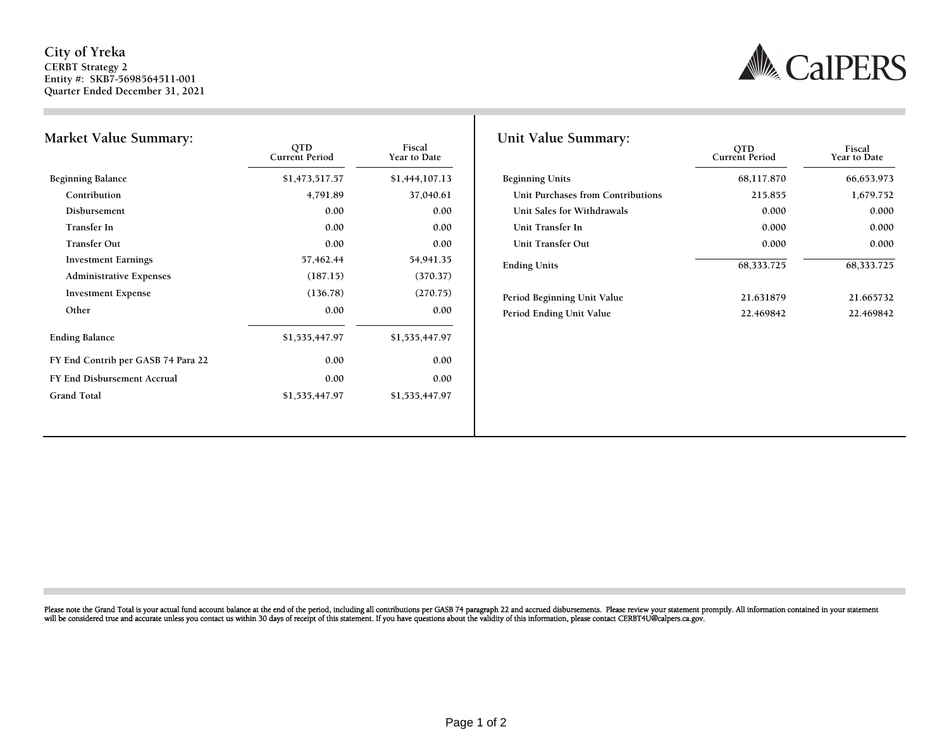#### City of Yreka CERBT Strategy 2 Entity #: SKB7-5698564511-001 Quarter Ended December 31, 2021



| <b>Market Value Summary:</b>       | <b>OTD</b><br><b>Current Period</b> | Fiscal<br>Year to Date | Unit Value Summary:         |
|------------------------------------|-------------------------------------|------------------------|-----------------------------|
| <b>Beginning Balance</b>           | \$1,473,517.57                      | \$1,444,107.13         | <b>Beginning Units</b>      |
| Contribution                       | 4,791.89                            | 37,040.61              | Unit Purchases from Contri  |
| Disbursement                       | 0.00                                | 0.00                   | Unit Sales for Withdrawals  |
| Transfer In                        | 0.00                                | 0.00                   | Unit Transfer In            |
| <b>Transfer Out</b>                | 0.00                                | 0.00                   | Unit Transfer Out           |
| <b>Investment Earnings</b>         | 57,462.44                           | 54,941.35              | <b>Ending Units</b>         |
| <b>Administrative Expenses</b>     | (187.15)                            | (370.37)               |                             |
| <b>Investment Expense</b>          | (136.78)                            | (270.75)               | Period Beginning Unit Value |
| Other                              | 0.00                                | 0.00                   | Period Ending Unit Value    |
| <b>Ending Balance</b>              | \$1,535,447.97                      | \$1,535,447.97         |                             |
| FY End Contrib per GASB 74 Para 22 | 0.00                                | 0.00                   |                             |
| FY End Disbursement Accrual        | 0.00                                | 0.00                   |                             |
| <b>Grand Total</b>                 | \$1,535,447.97                      | \$1,535,447.97         |                             |

| 0TD<br>ent Period | Fiscal<br>Year to Date | Unit Value Summary:               | <b>OTD</b><br><b>Current Period</b> | Fiscal<br>Year to Date |
|-------------------|------------------------|-----------------------------------|-------------------------------------|------------------------|
| ,473,517.57       | \$1,444,107.13         | <b>Beginning Units</b>            | 68,117.870                          | 66,653.973             |
| 4,791.89          | 37,040.61              | Unit Purchases from Contributions | 215.855                             | 1,679.752              |
| 0.00              | 0.00                   | Unit Sales for Withdrawals        | 0.000                               | 0.000                  |
| 0.00              | 0.00                   | Unit Transfer In                  | 0.000                               | 0.000                  |
| 0.00              | 0.00                   | Unit Transfer Out                 | 0.000                               | 0.000                  |
| 57,462.44         | 54,941.35              | <b>Ending Units</b>               | 68,333.725                          | 68,333.725             |
| (187.15)          | (370.37)               |                                   |                                     |                        |
| (136.78)          | (270.75)               | Period Beginning Unit Value       | 21.631879                           | 21.665732              |
| 0.00              | 0.00                   | Period Ending Unit Value          | 22.469842                           | 22.469842              |

Please note the Grand Total is your actual fund account balance at the end of the period, including all contributions per GASB 74 paragraph 22 and accrued disbursements. Please review your statement promptly. All informati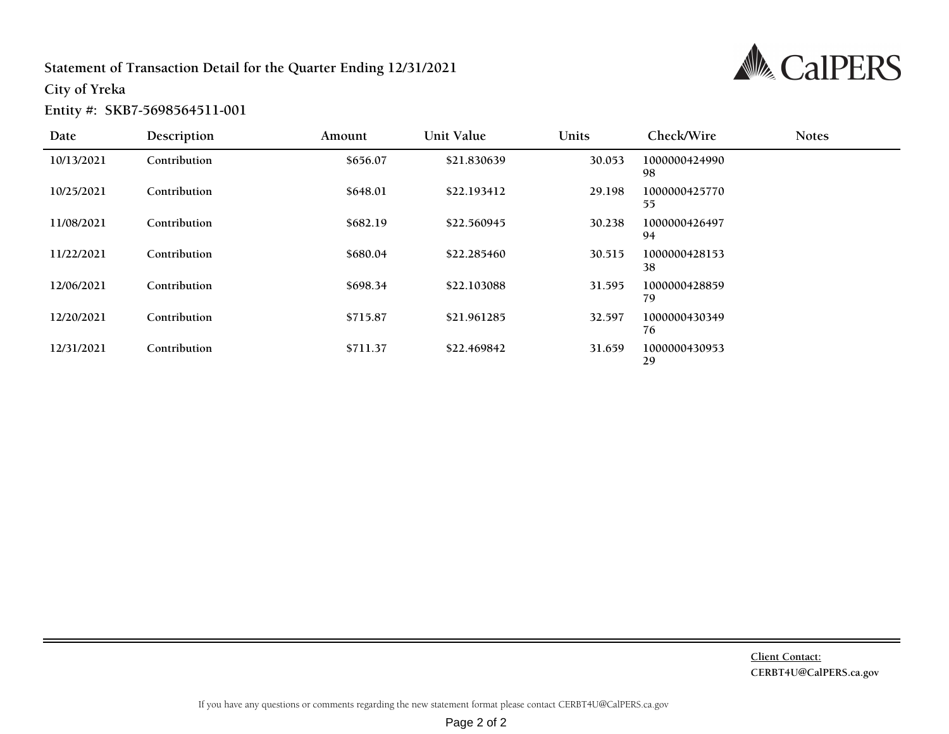### Statement of Transaction Detail for the Quarter Ending 12/31/2021



City of Yreka

Entity #: SKB7-5698564511-001

| Date       | Description  | Amount   | Unit Value  | Units  | Check/Wire          | <b>Notes</b> |
|------------|--------------|----------|-------------|--------|---------------------|--------------|
| 10/13/2021 | Contribution | \$656.07 | \$21.830639 | 30.053 | 1000000424990<br>98 |              |
| 10/25/2021 | Contribution | \$648.01 | \$22.193412 | 29.198 | 1000000425770<br>55 |              |
| 11/08/2021 | Contribution | \$682.19 | \$22.560945 | 30.238 | 1000000426497<br>94 |              |
| 11/22/2021 | Contribution | \$680.04 | \$22.285460 | 30.515 | 1000000428153<br>38 |              |
| 12/06/2021 | Contribution | \$698.34 | \$22.103088 | 31.595 | 1000000428859<br>79 |              |
| 12/20/2021 | Contribution | \$715.87 | \$21.961285 | 32.597 | 1000000430349<br>76 |              |
| 12/31/2021 | Contribution | \$711.37 | \$22.469842 | 31.659 | 1000000430953<br>29 |              |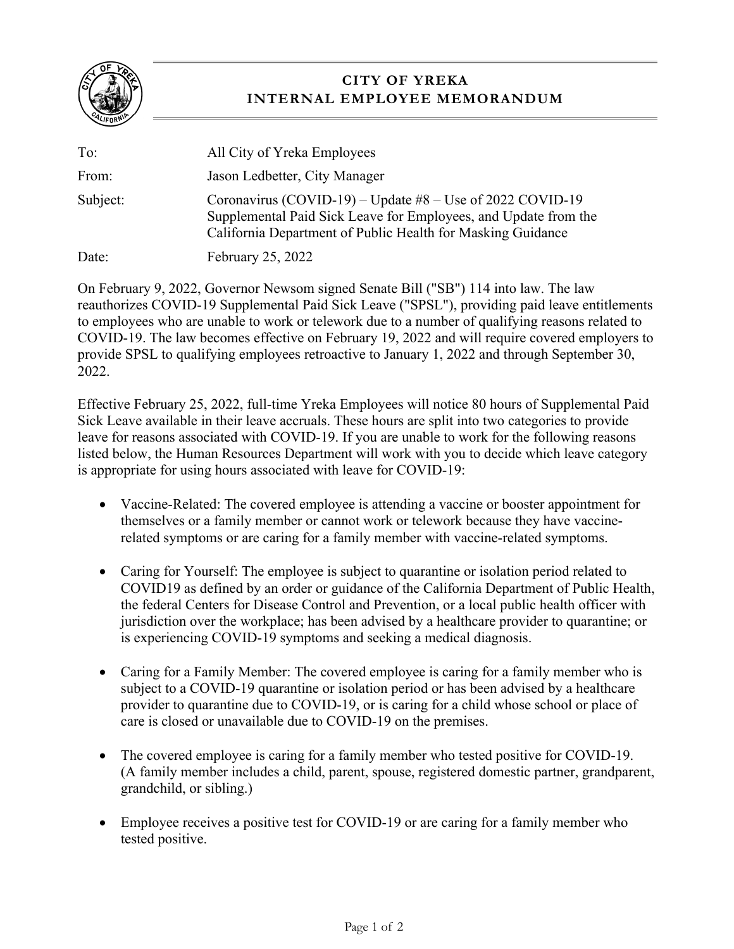

## **CITY OF YREKA INTERNAL EMPLOYEE MEMORANDUM**

| To:      | All City of Yreka Employees                                                                                                                                                                   |
|----------|-----------------------------------------------------------------------------------------------------------------------------------------------------------------------------------------------|
| From:    | Jason Ledbetter, City Manager                                                                                                                                                                 |
| Subject: | Coronavirus (COVID-19) – Update $#8$ – Use of 2022 COVID-19<br>Supplemental Paid Sick Leave for Employees, and Update from the<br>California Department of Public Health for Masking Guidance |
| Date:    | <b>February 25, 2022</b>                                                                                                                                                                      |

On February 9, 2022, Governor Newsom signed Senate Bill ("SB") 114 into law. The law reauthorizes COVID-19 Supplemental Paid Sick Leave ("SPSL"), providing paid leave entitlements to employees who are unable to work or telework due to a number of qualifying reasons related to COVID-19. The law becomes effective on February 19, 2022 and will require covered employers to provide SPSL to qualifying employees retroactive to January 1, 2022 and through September 30, 2022.

Effective February 25, 2022, full-time Yreka Employees will notice 80 hours of Supplemental Paid Sick Leave available in their leave accruals. These hours are split into two categories to provide leave for reasons associated with COVID-19. If you are unable to work for the following reasons listed below, the Human Resources Department will work with you to decide which leave category is appropriate for using hours associated with leave for COVID-19:

- Vaccine-Related: The covered employee is attending a vaccine or booster appointment for themselves or a family member or cannot work or telework because they have vaccinerelated symptoms or are caring for a family member with vaccine-related symptoms.
- Caring for Yourself: The employee is subject to quarantine or isolation period related to COVID19 as defined by an order or guidance of the California Department of Public Health, the federal Centers for Disease Control and Prevention, or a local public health officer with jurisdiction over the workplace; has been advised by a healthcare provider to quarantine; or is experiencing COVID-19 symptoms and seeking a medical diagnosis.
- Caring for a Family Member: The covered employee is caring for a family member who is subject to a COVID-19 quarantine or isolation period or has been advised by a healthcare provider to quarantine due to COVID-19, or is caring for a child whose school or place of care is closed or unavailable due to COVID-19 on the premises.
- The covered employee is caring for a family member who tested positive for COVID-19. (A family member includes a child, parent, spouse, registered domestic partner, grandparent, grandchild, or sibling.)
- Employee receives a positive test for COVID-19 or are caring for a family member who tested positive.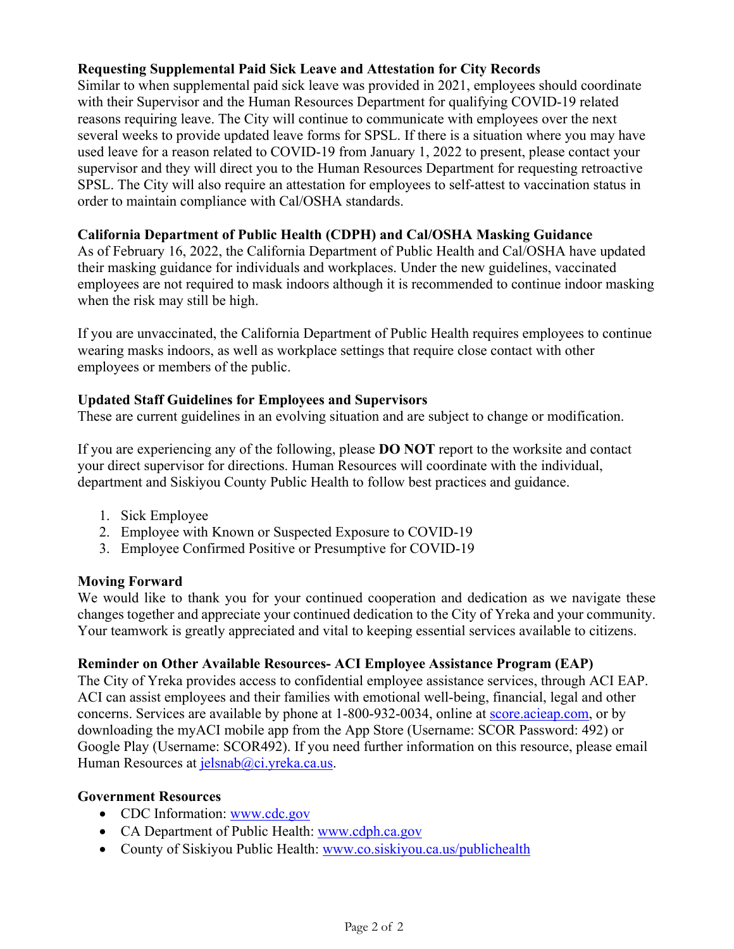#### **Requesting Supplemental Paid Sick Leave and Attestation for City Records**

Similar to when supplemental paid sick leave was provided in 2021, employees should coordinate with their Supervisor and the Human Resources Department for qualifying COVID-19 related reasons requiring leave. The City will continue to communicate with employees over the next several weeks to provide updated leave forms for SPSL. If there is a situation where you may have used leave for a reason related to COVID-19 from January 1, 2022 to present, please contact your supervisor and they will direct you to the Human Resources Department for requesting retroactive SPSL. The City will also require an attestation for employees to self-attest to vaccination status in order to maintain compliance with Cal/OSHA standards.

#### **California Department of Public Health (CDPH) and Cal/OSHA Masking Guidance**

As of February 16, 2022, the California Department of Public Health and Cal/OSHA have updated their masking guidance for individuals and workplaces. Under the new guidelines, vaccinated employees are not required to mask indoors although it is recommended to continue indoor masking when the risk may still be high.

If you are unvaccinated, the California Department of Public Health requires employees to continue wearing masks indoors, as well as workplace settings that require close contact with other employees or members of the public.

#### **Updated Staff Guidelines for Employees and Supervisors**

These are current guidelines in an evolving situation and are subject to change or modification.

If you are experiencing any of the following, please **DO NOT** report to the worksite and contact your direct supervisor for directions. Human Resources will coordinate with the individual, department and Siskiyou County Public Health to follow best practices and guidance.

- 1. Sick Employee
- 2. Employee with Known or Suspected Exposure to COVID-19
- 3. Employee Confirmed Positive or Presumptive for COVID-19

#### **Moving Forward**

We would like to thank you for your continued cooperation and dedication as we navigate these changes together and appreciate your continued dedication to the City of Yreka and your community. Your teamwork is greatly appreciated and vital to keeping essential services available to citizens.

#### **Reminder on Other Available Resources- ACI Employee Assistance Program (EAP)**

The City of Yreka provides access to confidential employee assistance services, through ACI EAP. ACI can assist employees and their families with emotional well-being, financial, legal and other concerns. Services are available by phone at 1-800-932-0034, online at score.acieap.com, or by downloading the myACI mobile app from the App Store (Username: SCOR Password: 492) or Google Play (Username: SCOR492). If you need further information on this resource, please email Human Resources at jelsnab@ci.yreka.ca.us.

#### **Government Resources**

- CDC Information: www.cdc.gov
- CA Department of Public Health: www.cdph.ca.gov
- County of Siskiyou Public Health: www.co.siskiyou.ca.us/publichealth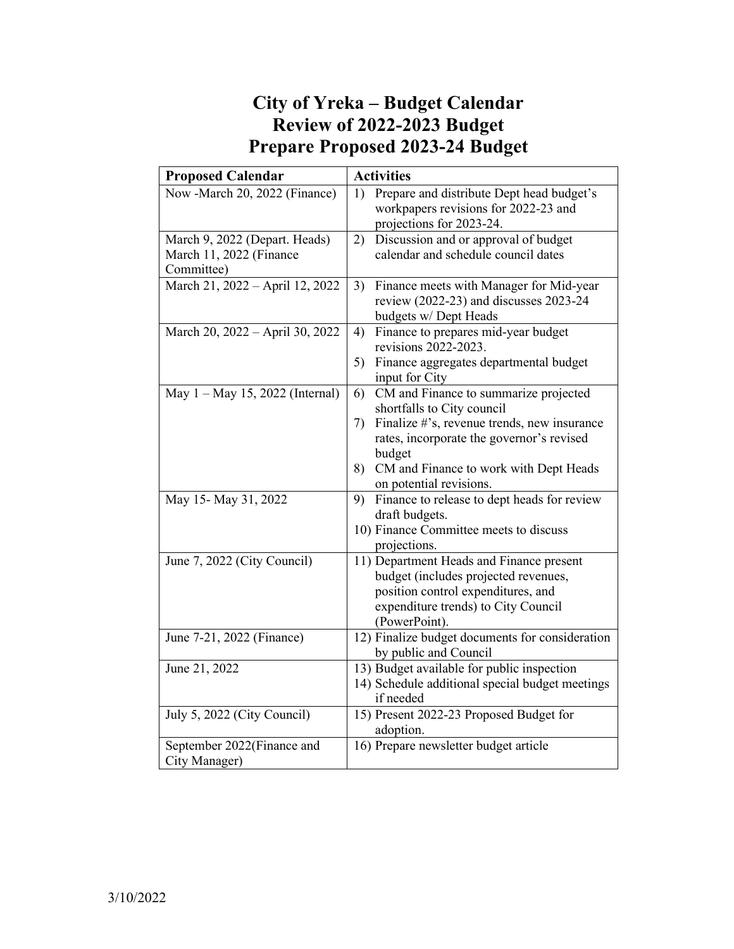# **City of Yreka – Budget Calendar Review of 2022-2023 Budget Prepare Proposed 2023-24 Budget**

| <b>Proposed Calendar</b>        | <b>Activities</b>                                                                                                   |
|---------------------------------|---------------------------------------------------------------------------------------------------------------------|
| Now -March 20, 2022 (Finance)   | Prepare and distribute Dept head budget's<br>1)<br>workpapers revisions for 2022-23 and<br>projections for 2023-24. |
| March 9, 2022 (Depart. Heads)   | Discussion and or approval of budget<br>2)                                                                          |
| March 11, 2022 (Finance         | calendar and schedule council dates                                                                                 |
| Committee)                      |                                                                                                                     |
| March 21, 2022 - April 12, 2022 | 3)<br>Finance meets with Manager for Mid-year                                                                       |
|                                 | review (2022-23) and discusses 2023-24                                                                              |
|                                 | budgets w/ Dept Heads                                                                                               |
| March 20, 2022 - April 30, 2022 | Finance to prepares mid-year budget<br>4)                                                                           |
|                                 | revisions 2022-2023.                                                                                                |
|                                 | 5) Finance aggregates departmental budget                                                                           |
|                                 | input for City                                                                                                      |
| May 1 - May 15, 2022 (Internal) | CM and Finance to summarize projected<br>6)                                                                         |
|                                 | shortfalls to City council                                                                                          |
|                                 | Finalize #'s, revenue trends, new insurance<br>7)                                                                   |
|                                 | rates, incorporate the governor's revised                                                                           |
|                                 | budget                                                                                                              |
|                                 | CM and Finance to work with Dept Heads<br>8)<br>on potential revisions.                                             |
| May 15- May 31, 2022            | Finance to release to dept heads for review<br>9)                                                                   |
|                                 | draft budgets.                                                                                                      |
|                                 | 10) Finance Committee meets to discuss                                                                              |
|                                 | projections.                                                                                                        |
| June 7, 2022 (City Council)     | 11) Department Heads and Finance present                                                                            |
|                                 | budget (includes projected revenues,                                                                                |
|                                 | position control expenditures, and                                                                                  |
|                                 | expenditure trends) to City Council                                                                                 |
|                                 | (PowerPoint).                                                                                                       |
| June 7-21, 2022 (Finance)       | 12) Finalize budget documents for consideration                                                                     |
|                                 | by public and Council                                                                                               |
| June 21, 2022                   | 13) Budget available for public inspection                                                                          |
|                                 | 14) Schedule additional special budget meetings                                                                     |
|                                 | if needed                                                                                                           |
| July 5, 2022 (City Council)     | 15) Present 2022-23 Proposed Budget for                                                                             |
|                                 | adoption.                                                                                                           |
| September 2022(Finance and      | 16) Prepare newsletter budget article                                                                               |
| City Manager)                   |                                                                                                                     |